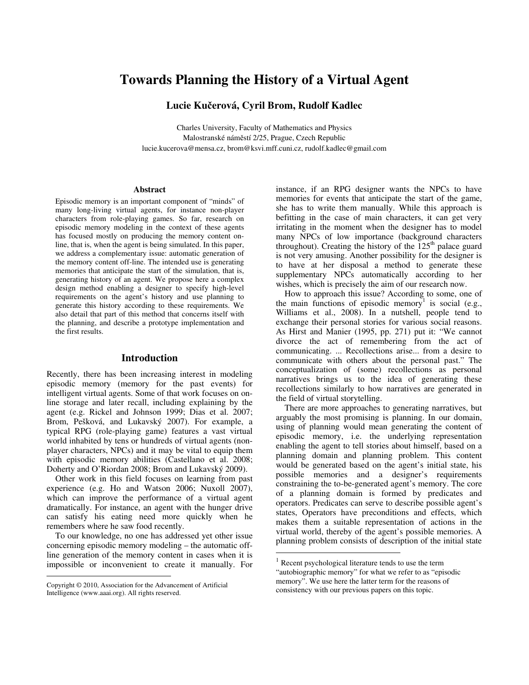# **Towards Planning the History of a Virtual Agent**

**Lucie Kučerová, Cyril Brom, Rudolf Kadlec** 

Charles University, Faculty of Mathematics and Physics Malostranské náměstí 2/25, Prague, Czech Republic lucie.kucerova@mensa.cz, brom@ksvi.mff.cuni.cz, rudolf.kadlec@gmail.com

### **Abstract**

Episodic memory is an important component of "minds" of many long-living virtual agents, for instance non-player characters from role-playing games. So far, research on episodic memory modeling in the context of these agents has focused mostly on producing the memory content online, that is, when the agent is being simulated. In this paper, we address a complementary issue: automatic generation of the memory content off-line. The intended use is generating memories that anticipate the start of the simulation, that is, generating history of an agent. We propose here a complex design method enabling a designer to specify high-level requirements on the agent's history and use planning to generate this history according to these requirements. We also detail that part of this method that concerns itself with the planning, and describe a prototype implementation and the first results.

#### **Introduction**

Recently, there has been increasing interest in modeling episodic memory (memory for the past events) for intelligent virtual agents. Some of that work focuses on online storage and later recall, including explaining by the agent (e.g. Rickel and Johnson 1999; Dias et al. 2007; Brom, Pešková, and Lukavský 2007). For example, a typical RPG (role-playing game) features a vast virtual world inhabited by tens or hundreds of virtual agents (nonplayer characters, NPCs) and it may be vital to equip them with episodic memory abilities (Castellano et al. 2008; Doherty and O'Riordan 2008; Brom and Lukavský 2009).

 Other work in this field focuses on learning from past experience (e.g. Ho and Watson 2006; Nuxoll 2007), which can improve the performance of a virtual agent dramatically. For instance, an agent with the hunger drive can satisfy his eating need more quickly when he remembers where he saw food recently.

 To our knowledge, no one has addressed yet other issue concerning episodic memory modeling – the automatic offline generation of the memory content in cases when it is impossible or inconvenient to create it manually. For

 $\overline{a}$ 

instance, if an RPG designer wants the NPCs to have memories for events that anticipate the start of the game, she has to write them manually. While this approach is befitting in the case of main characters, it can get very irritating in the moment when the designer has to model many NPCs of low importance (background characters throughout). Creating the history of the  $125<sup>th</sup>$  palace guard is not very amusing. Another possibility for the designer is to have at her disposal a method to generate these supplementary NPCs automatically according to her wishes, which is precisely the aim of our research now.

 How to approach this issue? According to some, one of the main functions of episodic memory<sup>1</sup> is social (e.g., Williams et al., 2008). In a nutshell, people tend to exchange their personal stories for various social reasons. As Hirst and Manier (1995, pp. 271) put it: "We cannot divorce the act of remembering from the act of communicating. ... Recollections arise... from a desire to communicate with others about the personal past." The conceptualization of (some) recollections as personal narratives brings us to the idea of generating these recollections similarly to how narratives are generated in the field of virtual storytelling.

 There are more approaches to generating narratives, but arguably the most promising is planning. In our domain, using of planning would mean generating the content of episodic memory, i.e. the underlying representation enabling the agent to tell stories about himself, based on a planning domain and planning problem. This content would be generated based on the agent's initial state, his possible memories and a designer's requirements constraining the to-be-generated agent's memory. The core of a planning domain is formed by predicates and operators. Predicates can serve to describe possible agent's states, Operators have preconditions and effects, which makes them a suitable representation of actions in the virtual world, thereby of the agent's possible memories. A planning problem consists of description of the initial state

 $\overline{a}$ 

Copyright © 2010, Association for the Advancement of Artificial Intelligence (www.aaai.org). All rights reserved.

<sup>1</sup> Recent psychological literature tends to use the term "autobiographic memory" for what we refer to as "episodic memory". We use here the latter term for the reasons of consistency with our previous papers on this topic.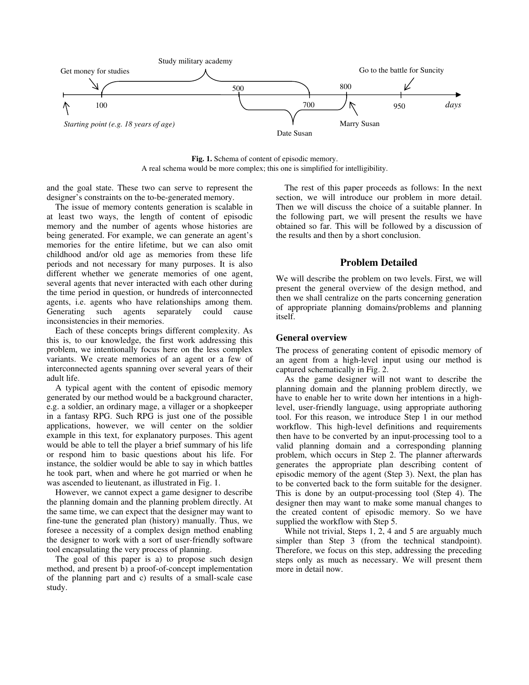

**Fig. 1.** Schema of content of episodic memory. A real schema would be more complex; this one is simplified for intelligibility.

and the goal state. These two can serve to represent the designer's constraints on the to-be-generated memory.

 The issue of memory contents generation is scalable in at least two ways, the length of content of episodic memory and the number of agents whose histories are being generated. For example, we can generate an agent's memories for the entire lifetime, but we can also omit childhood and/or old age as memories from these life periods and not necessary for many purposes. It is also different whether we generate memories of one agent, several agents that never interacted with each other during the time period in question, or hundreds of interconnected agents, i.e. agents who have relationships among them.<br>Generating such agents separately could cause such agents separately could cause inconsistencies in their memories.

 Each of these concepts brings different complexity. As this is, to our knowledge, the first work addressing this problem, we intentionally focus here on the less complex variants. We create memories of an agent or a few of interconnected agents spanning over several years of their adult life.

 A typical agent with the content of episodic memory generated by our method would be a background character, e.g. a soldier, an ordinary mage, a villager or a shopkeeper in a fantasy RPG. Such RPG is just one of the possible applications, however, we will center on the soldier example in this text, for explanatory purposes. This agent would be able to tell the player a brief summary of his life or respond him to basic questions about his life. For instance, the soldier would be able to say in which battles he took part, when and where he got married or when he was ascended to lieutenant, as illustrated in Fig. 1.

 However, we cannot expect a game designer to describe the planning domain and the planning problem directly. At the same time, we can expect that the designer may want to fine-tune the generated plan (history) manually. Thus, we foresee a necessity of a complex design method enabling the designer to work with a sort of user-friendly software tool encapsulating the very process of planning.

 The goal of this paper is a) to propose such design method, and present b) a proof-of-concept implementation of the planning part and c) results of a small-scale case study.

 The rest of this paper proceeds as follows: In the next section, we will introduce our problem in more detail. Then we will discuss the choice of a suitable planner. In the following part, we will present the results we have obtained so far. This will be followed by a discussion of the results and then by a short conclusion.

## **Problem Detailed**

We will describe the problem on two levels. First, we will present the general overview of the design method, and then we shall centralize on the parts concerning generation of appropriate planning domains/problems and planning itself.

#### **General overview**

The process of generating content of episodic memory of an agent from a high-level input using our method is captured schematically in Fig. 2.

 As the game designer will not want to describe the planning domain and the planning problem directly, we have to enable her to write down her intentions in a highlevel, user-friendly language, using appropriate authoring tool. For this reason, we introduce Step 1 in our method workflow. This high-level definitions and requirements then have to be converted by an input-processing tool to a valid planning domain and a corresponding planning problem, which occurs in Step 2. The planner afterwards generates the appropriate plan describing content of episodic memory of the agent (Step 3). Next, the plan has to be converted back to the form suitable for the designer. This is done by an output-processing tool (Step 4). The designer then may want to make some manual changes to the created content of episodic memory. So we have supplied the workflow with Step 5.

While not trivial, Steps 1, 2, 4 and 5 are arguably much simpler than Step 3 (from the technical standpoint). Therefore, we focus on this step, addressing the preceding steps only as much as necessary. We will present them more in detail now.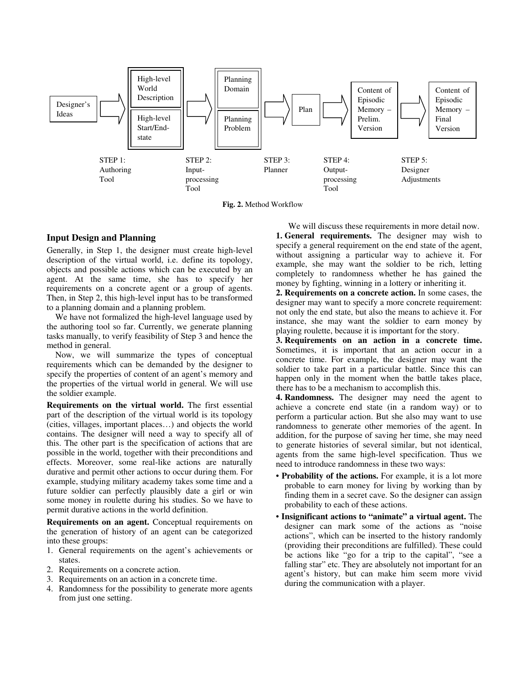

**Fig. 2.** Method Workflow

### **Input Design and Planning**

Generally, in Step 1, the designer must create high-level description of the virtual world, i.e. define its topology, objects and possible actions which can be executed by an agent. At the same time, she has to specify her requirements on a concrete agent or a group of agents. Then, in Step 2, this high-level input has to be transformed to a planning domain and a planning problem.

 We have not formalized the high-level language used by the authoring tool so far. Currently, we generate planning tasks manually, to verify feasibility of Step 3 and hence the method in general.

 Now, we will summarize the types of conceptual requirements which can be demanded by the designer to specify the properties of content of an agent's memory and the properties of the virtual world in general. We will use the soldier example.

**Requirements on the virtual world.** The first essential part of the description of the virtual world is its topology (cities, villages, important places…) and objects the world contains. The designer will need a way to specify all of this. The other part is the specification of actions that are possible in the world, together with their preconditions and effects. Moreover, some real-like actions are naturally durative and permit other actions to occur during them. For example, studying military academy takes some time and a future soldier can perfectly plausibly date a girl or win some money in roulette during his studies. So we have to permit durative actions in the world definition.

**Requirements on an agent.** Conceptual requirements on the generation of history of an agent can be categorized into these groups:

- 1. General requirements on the agent's achievements or states.
- 2. Requirements on a concrete action.
- 3. Requirements on an action in a concrete time.
- 4. Randomness for the possibility to generate more agents from just one setting.

 We will discuss these requirements in more detail now. **1. General requirements.** The designer may wish to specify a general requirement on the end state of the agent, without assigning a particular way to achieve it. For example, she may want the soldier to be rich, letting completely to randomness whether he has gained the money by fighting, winning in a lottery or inheriting it.

**2. Requirements on a concrete action.** In some cases, the designer may want to specify a more concrete requirement: not only the end state, but also the means to achieve it. For instance, she may want the soldier to earn money by playing roulette, because it is important for the story.

**3. Requirements on an action in a concrete time.** Sometimes, it is important that an action occur in a concrete time. For example, the designer may want the soldier to take part in a particular battle. Since this can happen only in the moment when the battle takes place, there has to be a mechanism to accomplish this.

**4. Randomness.** The designer may need the agent to achieve a concrete end state (in a random way) or to perform a particular action. But she also may want to use randomness to generate other memories of the agent. In addition, for the purpose of saving her time, she may need to generate histories of several similar, but not identical, agents from the same high-level specification. Thus we need to introduce randomness in these two ways:

- **Probability of the actions.** For example, it is a lot more probable to earn money for living by working than by finding them in a secret cave. So the designer can assign probability to each of these actions.
- **Insignificant actions to "animate" a virtual agent.** The designer can mark some of the actions as "noise actions", which can be inserted to the history randomly (providing their preconditions are fulfilled). These could be actions like "go for a trip to the capital", "see a falling star" etc. They are absolutely not important for an agent's history, but can make him seem more vivid during the communication with a player.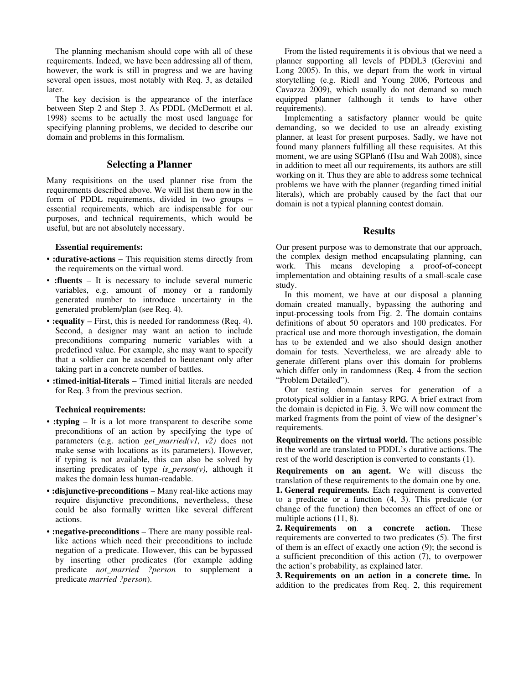The planning mechanism should cope with all of these requirements. Indeed, we have been addressing all of them, however, the work is still in progress and we are having several open issues, most notably with Req. 3, as detailed later.

 The key decision is the appearance of the interface between Step 2 and Step 3. As PDDL (McDermott et al. 1998) seems to be actually the most used language for specifying planning problems, we decided to describe our domain and problems in this formalism.

## **Selecting a Planner**

Many requisitions on the used planner rise from the requirements described above. We will list them now in the form of PDDL requirements, divided in two groups – essential requirements, which are indispensable for our purposes, and technical requirements, which would be useful, but are not absolutely necessary.

#### **Essential requirements:**

- **:durative-actions** This requisition stems directly from the requirements on the virtual word.
- **:fluents** It is necessary to include several numeric variables, e.g. amount of money or a randomly generated number to introduce uncertainty in the generated problem/plan (see Req. 4).
- **:equality** First, this is needed for randomness (Req. 4). Second, a designer may want an action to include preconditions comparing numeric variables with a predefined value. For example, she may want to specify that a soldier can be ascended to lieutenant only after taking part in a concrete number of battles.
- **:timed-initial-literals** Timed initial literals are needed for Req. 3 from the previous section.

#### **Technical requirements:**

- **:typing** It is a lot more transparent to describe some preconditions of an action by specifying the type of parameters (e.g. action *get\_married(v1, v2)* does not make sense with locations as its parameters). However, if typing is not available, this can also be solved by inserting predicates of type *is\_person(v)*, although it makes the domain less human-readable.
- **:disjunctive-preconditions** Many real-like actions may require disjunctive preconditions, nevertheless, these could be also formally written like several different actions.
- **:negative-preconditions** There are many possible reallike actions which need their preconditions to include negation of a predicate. However, this can be bypassed by inserting other predicates (for example adding predicate *not\_married ?person* to supplement a predicate *married ?person*).

 From the listed requirements it is obvious that we need a planner supporting all levels of PDDL3 (Gerevini and Long 2005). In this, we depart from the work in virtual storytelling (e.g. Riedl and Young 2006, Porteous and Cavazza 2009), which usually do not demand so much equipped planner (although it tends to have other requirements).

 Implementing a satisfactory planner would be quite demanding, so we decided to use an already existing planner, at least for present purposes. Sadly, we have not found many planners fulfilling all these requisites. At this moment, we are using SGPlan6 (Hsu and Wah 2008), since in addition to meet all our requirements, its authors are still working on it. Thus they are able to address some technical problems we have with the planner (regarding timed initial literals), which are probably caused by the fact that our domain is not a typical planning contest domain.

#### **Results**

Our present purpose was to demonstrate that our approach, the complex design method encapsulating planning, can work. This means developing a proof-of-concept implementation and obtaining results of a small-scale case study.

 In this moment, we have at our disposal a planning domain created manually, bypassing the authoring and input-processing tools from Fig. 2. The domain contains definitions of about 50 operators and 100 predicates. For practical use and more thorough investigation, the domain has to be extended and we also should design another domain for tests. Nevertheless, we are already able to generate different plans over this domain for problems which differ only in randomness (Req. 4 from the section "Problem Detailed").

 Our testing domain serves for generation of a prototypical soldier in a fantasy RPG. A brief extract from the domain is depicted in Fig. 3. We will now comment the marked fragments from the point of view of the designer's requirements.

**Requirements on the virtual world.** The actions possible in the world are translated to PDDL's durative actions. The rest of the world description is converted to constants (1).

**Requirements on an agent.** We will discuss the translation of these requirements to the domain one by one. **1. General requirements.** Each requirement is converted to a predicate or a function (4, 3). This predicate (or change of the function) then becomes an effect of one or multiple actions (11, 8).

**2. Requirements on a concrete action.** These requirements are converted to two predicates (5). The first of them is an effect of exactly one action (9); the second is a sufficient precondition of this action (7), to overpower the action's probability, as explained later.

**3. Requirements on an action in a concrete time.** In addition to the predicates from Req. 2, this requirement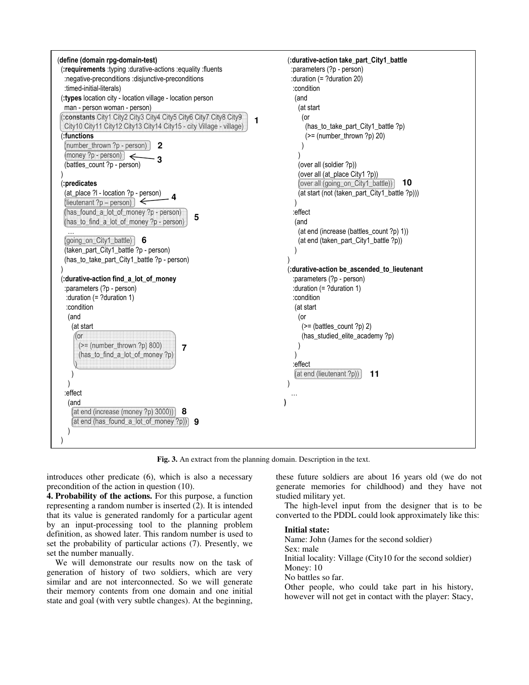

**Fig. 3.** An extract from the planning domain. Description in the text.

introduces other predicate (6), which is also a necessary precondition of the action in question (10).

**4. Probability of the actions.** For this purpose, a function representing a random number is inserted (2). It is intended that its value is generated randomly for a particular agent by an input-processing tool to the planning problem definition, as showed later. This random number is used to set the probability of particular actions (7). Presently, we set the number manually.

 We will demonstrate our results now on the task of generation of history of two soldiers, which are very similar and are not interconnected. So we will generate their memory contents from one domain and one initial state and goal (with very subtle changes). At the beginning, these future soldiers are about 16 years old (we do not generate memories for childhood) and they have not studied military yet.

 The high-level input from the designer that is to be converted to the PDDL could look approximately like this:

#### **Initial state:**

Name: John (James for the second soldier) Sex: male Initial locality: Village (City10 for the second soldier) Money: 10 No battles so far. Other people, who could take part in his history, however will not get in contact with the player: Stacy,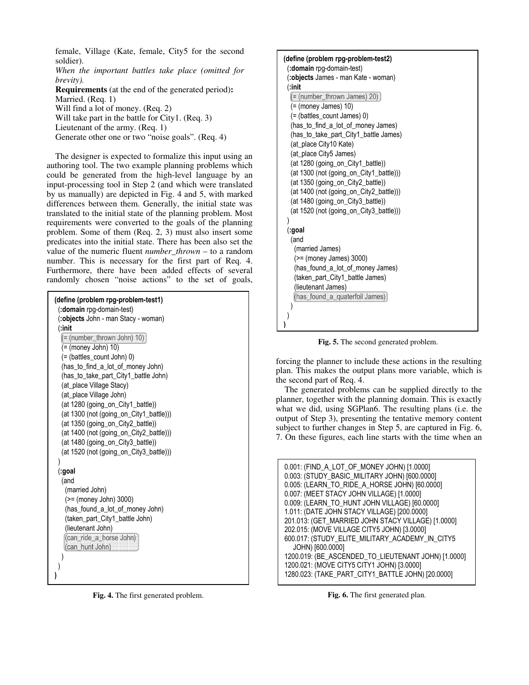female, Village (Kate, female, City5 for the second soldier).

*When the important battles take place (omitted for brevity).*

**Requirements** (at the end of the generated period)**:**  Married. (Req. 1) Will find a lot of money. (Req. 2)

Will take part in the battle for City1. (Req. 3)

```
Lieutenant of the army. (Req. 1)
```
Generate other one or two "noise goals". (Req. 4)

 The designer is expected to formalize this input using an authoring tool. The two example planning problems which could be generated from the high-level language by an input-processing tool in Step 2 (and which were translated by us manually) are depicted in Fig. 4 and 5, with marked differences between them. Generally, the initial state was translated to the initial state of the planning problem. Most requirements were converted to the goals of the planning problem. Some of them (Req. 2, 3) must also insert some predicates into the initial state. There has been also set the value of the numeric fluent *number\_thrown* – to a random number. This is necessary for the first part of Req. 4. Furthermore, there have been added effects of several randomly chosen "noise actions" to the set of goals,

| (define (problem rpg-problem-test1)<br>(:domain rpg-domain-test) |
|------------------------------------------------------------------|
| (:objects John - man Stacy - woman)                              |
| (:init                                                           |
| $(=$ (number thrown John) 10)                                    |
| (= (money John) 10)                                              |
| (= (battles_count John) 0)                                       |
| (has_to_find_a_lot_of_money John)                                |
| (has_to_take_part_City1_battle John)                             |
| (at_place Village Stacy)                                         |
| (at_place Village John)                                          |
| (at 1280 (going_on_City1_battle))                                |
| (at 1300 (not (going_on_City1_battle)))                          |
| (at 1350 (going_on_City2_battle))                                |
| (at 1400 (not (going_on_City2_battle)))                          |
| (at 1480 (going_on_City3_battle))                                |
| (at 1520 (not (going_on_City3_battle)))                          |
| (:goal                                                           |
| (and                                                             |
| (married John)                                                   |
| (>= (money John) 3000)                                           |
| (has_found_a_lot_of_money John)                                  |
| (taken_part_City1_battle John)                                   |
| (lieutenant John)                                                |
| (can_ride_a_horse John)                                          |
| (can_hunt John)                                                  |
|                                                                  |
|                                                                  |
|                                                                  |

**Fig. 4.** The first generated problem.

| (define (problem rpg-problem-test2)     |
|-----------------------------------------|
| (:domain rpg-domain-test)               |
| (:objects James - man Kate - woman)     |
| (:init                                  |
| (= (number_thrown James) 20)            |
| (= (money James) 10)                    |
| (= (battles_count James) 0)             |
| (has_to_find_a_lot_of_money James)      |
| (has to take part City1 battle James)   |
| (at place City10 Kate)                  |
| (at place City5 James)                  |
| (at 1280 (going_on_City1_battle))       |
| (at 1300 (not (going_on_City1_battle))) |
| (at 1350 (going_on_City2_battle))       |
| (at 1400 (not (going_on_City2_battle))) |
| (at 1480 (going_on_City3_battle))       |
| (at 1520 (not (going on City3 battle))) |
|                                         |
| (:goal                                  |
| (and                                    |
| (married James)                         |
| (>= (money James) 3000)                 |
| (has_found_a_lot_of_money James)        |
| (taken_part_City1_battle James)         |
| (lieutenant James)                      |
| (has_found_a_quaterfoil James)          |
|                                         |
|                                         |
|                                         |

**Fig. 5.** The second generated problem.

forcing the planner to include these actions in the resulting plan. This makes the output plans more variable, which is the second part of Req. 4.

 The generated problems can be supplied directly to the planner, together with the planning domain. This is exactly what we did, using SGPlan6. The resulting plans (i.e. the output of Step 3), presenting the tentative memory content subject to further changes in Step 5, are captured in Fig. 6, 7. On these figures, each line starts with the time when an

| 0.001: (FIND_A_LOT_OF_MONEY JOHN) [1.0000]<br>0.003: (STUDY_BASIC_MILITARY JOHN) [600.0000]<br>0.005: (LEARN_TO_RIDE_A_HORSE JOHN) [60.0000]<br>0.007: (MEET STACY JOHN VILLAGE) [1.0000]<br>0.009: (LEARN_TO_HUNT JOHN VILLAGE) [60.0000]<br>1.011: (DATE JOHN STACY VILLAGE) [200.0000]<br>201.013: (GET_MARRIED JOHN STACY VILLAGE) [1.0000]<br>202.015: (MOVE VILLAGE CITY5 JOHN) [3.0000]<br>600.017: (STUDY_ELITE_MILITARY_ACADEMY_IN_CITY5<br>JOHN) [600.0000]<br>1200.019: (BE_ASCENDED_TO_LIEUTENANT JOHN) [1.0000]<br>1200.021: (MOVE CITY5 CITY1 JOHN) [3.0000] |
|----------------------------------------------------------------------------------------------------------------------------------------------------------------------------------------------------------------------------------------------------------------------------------------------------------------------------------------------------------------------------------------------------------------------------------------------------------------------------------------------------------------------------------------------------------------------------|
|                                                                                                                                                                                                                                                                                                                                                                                                                                                                                                                                                                            |
|                                                                                                                                                                                                                                                                                                                                                                                                                                                                                                                                                                            |
| 1280.023: (TAKE_PART_CITY1_BATTLE JOHN) [20.0000]                                                                                                                                                                                                                                                                                                                                                                                                                                                                                                                          |
|                                                                                                                                                                                                                                                                                                                                                                                                                                                                                                                                                                            |

**Fig. 6.** The first generated plan.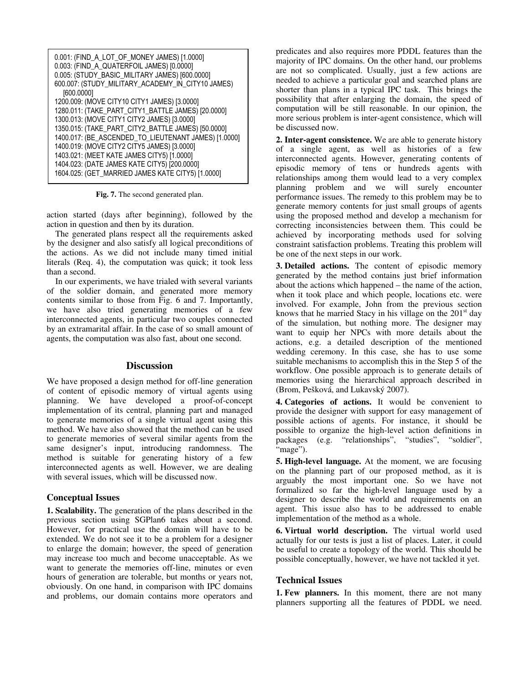| 0.001: (FIND_A_LOT_OF_MONEY JAMES) [1.0000]<br>0.003: (FIND_A_QUATERFOIL JAMES) [0.0000] |
|------------------------------------------------------------------------------------------|
| 0.005: (STUDY_BASIC_MILITARY JAMES) [600.0000]                                           |
| 600.007: (STUDY_MILITARY_ACADEMY_IN_CITY10 JAMES)                                        |
| [600.0000]                                                                               |
| 1200.009: (MOVE CITY10 CITY1 JAMES) [3.0000]                                             |
| 1280.011: (TAKE_PART_CITY1_BATTLE JAMES) [20.0000]                                       |
| 1300.013: (MOVE CITY1 CITY2 JAMES) [3.0000]                                              |
| 1350.015: (TAKE_PART_CITY2_BATTLE JAMES) [50.0000]                                       |
| 1400.017: (BE_ASCENDED_TO_LIEUTENANT JAMES) [1.0000]                                     |
| 1400.019: (MOVE CITY2 CITY5 JAMES) [3.0000]                                              |
| 1403.021: (MEET KATE JAMES CITY5) [1.0000]                                               |
| 1404.023: (DATE JAMES KATE CITY5) [200.0000]                                             |
| 1604.025: (GET_MARRIED JAMES KATE CITY5) [1.0000]                                        |

**Fig. 7.** The second generated plan.

action started (days after beginning), followed by the action in question and then by its duration.

 The generated plans respect all the requirements asked by the designer and also satisfy all logical preconditions of the actions. As we did not include many timed initial literals (Req. 4), the computation was quick; it took less than a second.

 In our experiments, we have trialed with several variants of the soldier domain, and generated more memory contents similar to those from Fig. 6 and 7. Importantly, we have also tried generating memories of a few interconnected agents, in particular two couples connected by an extramarital affair. In the case of so small amount of agents, the computation was also fast, about one second.

## **Discussion**

We have proposed a design method for off-line generation of content of episodic memory of virtual agents using planning. We have developed a proof-of-concept implementation of its central, planning part and managed to generate memories of a single virtual agent using this method. We have also showed that the method can be used to generate memories of several similar agents from the same designer's input, introducing randomness. The method is suitable for generating history of a few interconnected agents as well. However, we are dealing with several issues, which will be discussed now.

## **Conceptual Issues**

**1. Scalability.** The generation of the plans described in the previous section using SGPlan6 takes about a second. However, for practical use the domain will have to be extended. We do not see it to be a problem for a designer to enlarge the domain; however, the speed of generation may increase too much and become unacceptable. As we want to generate the memories off-line, minutes or even hours of generation are tolerable, but months or years not, obviously. On one hand, in comparison with IPC domains and problems, our domain contains more operators and

predicates and also requires more PDDL features than the majority of IPC domains. On the other hand, our problems are not so complicated. Usually, just a few actions are needed to achieve a particular goal and searched plans are shorter than plans in a typical IPC task. This brings the possibility that after enlarging the domain, the speed of computation will be still reasonable. In our opinion, the more serious problem is inter-agent consistence, which will be discussed now.

**2. Inter-agent consistence.** We are able to generate history of a single agent, as well as histories of a few interconnected agents. However, generating contents of episodic memory of tens or hundreds agents with relationships among them would lead to a very complex planning problem and we will surely encounter performance issues. The remedy to this problem may be to generate memory contents for just small groups of agents using the proposed method and develop a mechanism for correcting inconsistencies between them. This could be achieved by incorporating methods used for solving constraint satisfaction problems. Treating this problem will be one of the next steps in our work.

**3. Detailed actions.** The content of episodic memory generated by the method contains just brief information about the actions which happened – the name of the action, when it took place and which people, locations etc. were involved. For example, John from the previous section knows that he married Stacy in his village on the  $201<sup>st</sup>$  day of the simulation, but nothing more. The designer may want to equip her NPCs with more details about the actions, e.g. a detailed description of the mentioned wedding ceremony. In this case, she has to use some suitable mechanisms to accomplish this in the Step 5 of the workflow. One possible approach is to generate details of memories using the hierarchical approach described in (Brom, Pešková, and Lukavský 2007).

**4. Categories of actions.** It would be convenient to provide the designer with support for easy management of possible actions of agents. For instance, it should be possible to organize the high-level action definitions in packages (e.g. "relationships", "studies", "soldier", "mage").

**5. High-level language.** At the moment, we are focusing on the planning part of our proposed method, as it is arguably the most important one. So we have not formalized so far the high-level language used by a designer to describe the world and requirements on an agent. This issue also has to be addressed to enable implementation of the method as a whole.

**6. Virtual world description.** The virtual world used actually for our tests is just a list of places. Later, it could be useful to create a topology of the world. This should be possible conceptually, however, we have not tackled it yet.

## **Technical Issues**

**1. Few planners.** In this moment, there are not many planners supporting all the features of PDDL we need.